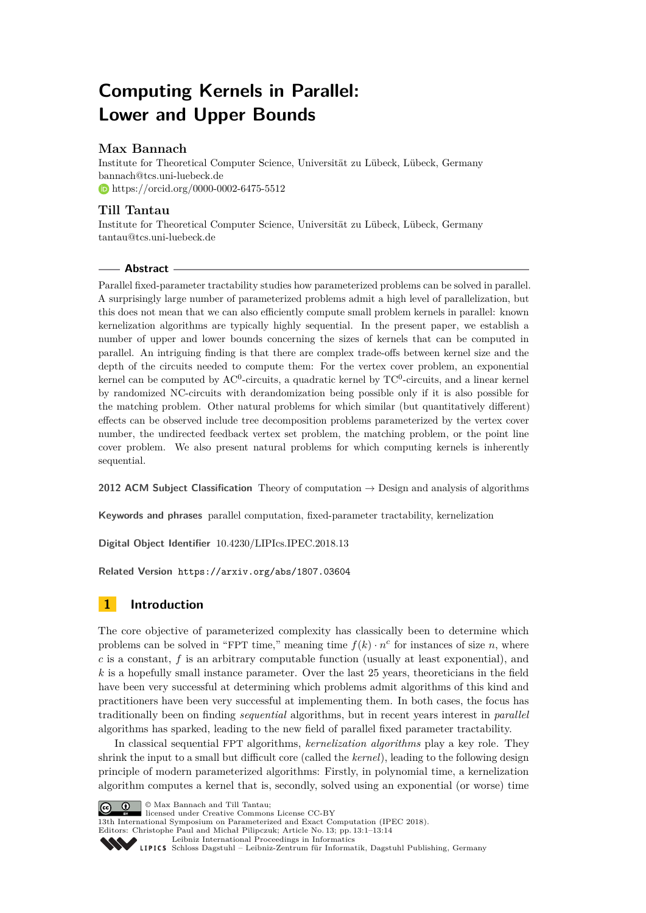# **Computing Kernels in Parallel: Lower and Upper Bounds**

## **Max Bannach**

Institute for Theoretical Computer Science, Universität zu Lübeck, Lübeck, Germany [bannach@tcs.uni-luebeck.de](mailto:bannach@tcs.uni-luebeck.de) <https://orcid.org/0000-0002-6475-5512>

## **Till Tantau**

Institute for Theoretical Computer Science, Universität zu Lübeck, Lübeck, Germany [tantau@tcs.uni-luebeck.de](mailto:tantau@tcs.uni-luebeck.de)

## **Abstract**

Parallel fixed-parameter tractability studies how parameterized problems can be solved in parallel. A surprisingly large number of parameterized problems admit a high level of parallelization, but this does not mean that we can also efficiently compute small problem kernels in parallel: known kernelization algorithms are typically highly sequential. In the present paper, we establish a number of upper and lower bounds concerning the sizes of kernels that can be computed in parallel. An intriguing finding is that there are complex trade-offs between kernel size and the depth of the circuits needed to compute them: For the vertex cover problem, an exponential kernel can be computed by  $AC^0$ -circuits, a quadratic kernel by  $TC^0$ -circuits, and a linear kernel by randomized NC-circuits with derandomization being possible only if it is also possible for the matching problem. Other natural problems for which similar (but quantitatively different) effects can be observed include tree decomposition problems parameterized by the vertex cover number, the undirected feedback vertex set problem, the matching problem, or the point line cover problem. We also present natural problems for which computing kernels is inherently sequential.

**2012 ACM Subject Classification** Theory of computation → Design and analysis of algorithms

**Keywords and phrases** parallel computation, fixed-parameter tractability, kernelization

**Digital Object Identifier** [10.4230/LIPIcs.IPEC.2018.13](https://doi.org/10.4230/LIPIcs.IPEC.2018.13)

**Related Version** <https://arxiv.org/abs/1807.03604>

## **1 Introduction**

The core objective of parameterized complexity has classically been to determine which problems can be solved in "FPT time," meaning time  $f(k) \cdot n^c$  for instances of size *n*, where *c* is a constant, *f* is an arbitrary computable function (usually at least exponential), and *k* is a hopefully small instance parameter. Over the last 25 years, theoreticians in the field have been very successful at determining which problems admit algorithms of this kind and practitioners have been very successful at implementing them. In both cases, the focus has traditionally been on finding *sequential* algorithms, but in recent years interest in *parallel* algorithms has sparked, leading to the new field of parallel fixed parameter tractability.

In classical sequential FPT algorithms, *kernelization algorithms* play a key role. They shrink the input to a small but difficult core (called the *kernel*), leading to the following design principle of modern parameterized algorithms: Firstly, in polynomial time, a kernelization algorithm computes a kernel that is, secondly, solved using an exponential (or worse) time

© Max Bannach and Till Tantau;  $\boxed{6}$  0

licensed under Creative Commons License CC-BY

13th International Symposium on Parameterized and Exact Computation (IPEC 2018).

Editors: Christophe Paul and Michał Pilipczuk; Article No. 13; pp. 13:1–13[:14](#page-13-0)

[Leibniz International Proceedings in Informatics](http://www.dagstuhl.de/lipics/) [Schloss Dagstuhl – Leibniz-Zentrum für Informatik, Dagstuhl Publishing, Germany](http://www.dagstuhl.de)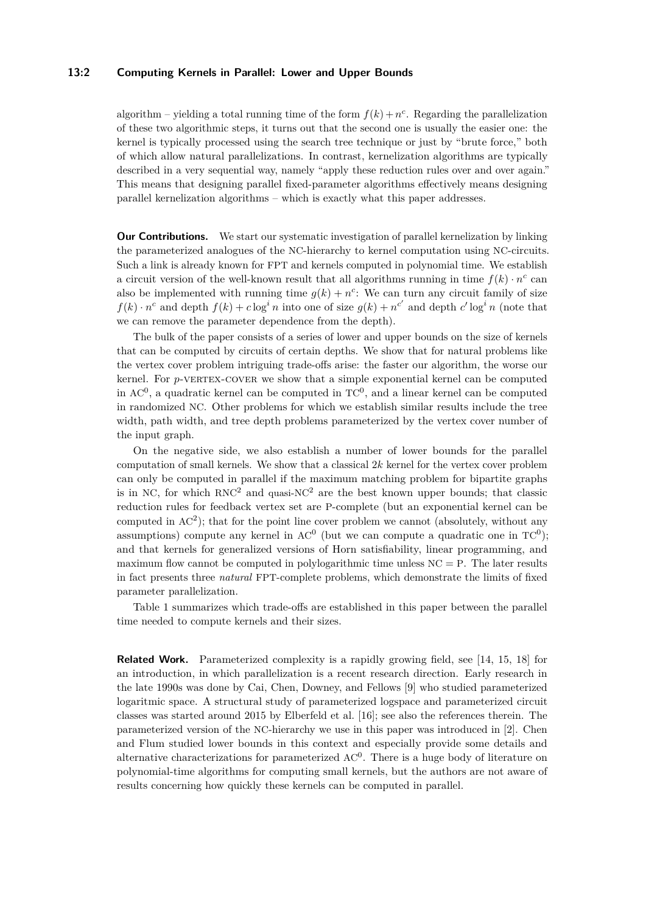#### **13:2 Computing Kernels in Parallel: Lower and Upper Bounds**

algorithm – yielding a total running time of the form  $f(k) + n^c$ . Regarding the parallelization of these two algorithmic steps, it turns out that the second one is usually the easier one: the kernel is typically processed using the search tree technique or just by "brute force," both of which allow natural parallelizations. In contrast, kernelization algorithms are typically described in a very sequential way, namely "apply these reduction rules over and over again." This means that designing parallel fixed-parameter algorithms effectively means designing parallel kernelization algorithms – which is exactly what this paper addresses.

**Our Contributions.** We start our systematic investigation of parallel kernelization by linking the parameterized analogues of the NC-hierarchy to kernel computation using NC-circuits. Such a link is already known for FPT and kernels computed in polynomial time. We establish a circuit version of the well-known result that all algorithms running in time  $f(k) \cdot n^c$  can also be implemented with running time  $g(k) + n^c$ : We can turn any circuit family of size  $f(k) \cdot n^c$  and depth  $f(k) + c \log^i n$  into one of size  $g(k) + n^{c'}$  and depth  $c' \log^i n$  (note that we can remove the parameter dependence from the depth).

The bulk of the paper consists of a series of lower and upper bounds on the size of kernels that can be computed by circuits of certain depths. We show that for natural problems like the vertex cover problem intriguing trade-offs arise: the faster our algorithm, the worse our kernel. For *p*-vERTEX-COVER we show that a simple exponential kernel can be computed in  $AC<sup>0</sup>$ , a quadratic kernel can be computed in  $TC<sup>0</sup>$ , and a linear kernel can be computed in randomized NC. Other problems for which we establish similar results include the tree width, path width, and tree depth problems parameterized by the vertex cover number of the input graph.

On the negative side, we also establish a number of lower bounds for the parallel computation of small kernels. We show that a classical 2*k* kernel for the vertex cover problem can only be computed in parallel if the maximum matching problem for bipartite graphs is in NC, for which  $RNC^2$  and quasi-NC<sup>2</sup> are the best known upper bounds; that classic reduction rules for feedback vertex set are P-complete (but an exponential kernel can be computed in  $AC<sup>2</sup>$ ); that for the point line cover problem we cannot (absolutely, without any assumptions) compute any kernel in  $AC^0$  (but we can compute a quadratic one in  $TC^0$ ); and that kernels for generalized versions of Horn satisfiability, linear programming, and maximum flow cannot be computed in polylogarithmic time unless  $NC = P$ . The later results in fact presents three *natural* FPT-complete problems, which demonstrate the limits of fixed parameter parallelization.

Table [1](#page-2-0) summarizes which trade-offs are established in this paper between the parallel time needed to compute kernels and their sizes.

**Related Work.** Parameterized complexity is a rapidly growing field, see [\[14,](#page-12-0) [15,](#page-12-1) [18\]](#page-12-2) for an introduction, in which parallelization is a recent research direction. Early research in the late 1990s was done by Cai, Chen, Downey, and Fellows [\[9\]](#page-12-3) who studied parameterized logaritmic space. A structural study of parameterized logspace and parameterized circuit classes was started around 2015 by Elberfeld et al. [\[16\]](#page-12-4); see also the references therein. The parameterized version of the NC-hierarchy we use in this paper was introduced in [\[2\]](#page-12-5). Chen and Flum studied lower bounds in this context and especially provide some details and alternative characterizations for parameterized  $AC<sup>0</sup>$ . There is a huge body of literature on polynomial-time algorithms for computing small kernels, but the authors are not aware of results concerning how quickly these kernels can be computed in parallel.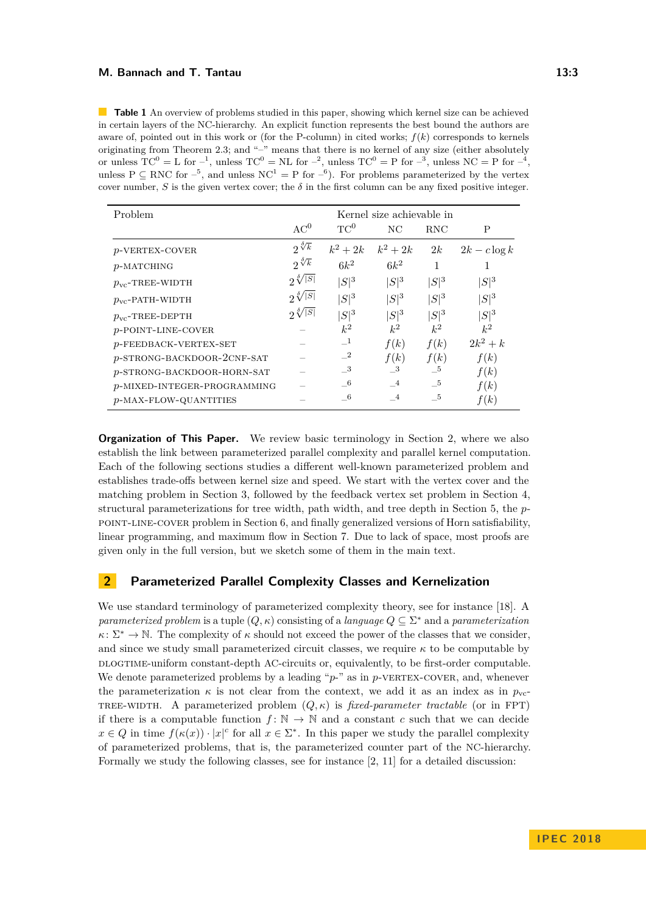#### **M. Bannach and T. Tantau 13:3**

<span id="page-2-0"></span>**Table 1** An overview of problems studied in this paper, showing which kernel size can be achieved in certain layers of the NC-hierarchy. An explicit function represents the best bound the authors are aware of, pointed out in this work or (for the P-column) in cited works; *f*(*k*) corresponds to kernels originating from Theorem [2.3;](#page-3-0) and "–" means that there is no kernel of any size (either absolutely or unless  $TC^0 = L$  for  $^{-1}$ , unless  $TC^0 = NL$  for  $^{-2}$ , unless  $TC^0 = P$  for  $^{-3}$ , unless  $NC = P$  for  $^{-4}$ , unless  $P \subseteq RNC$  for  $^{-5}$ , and unless  $NC^1 = P$  for  $^{-6}$ ). For problems parameterized by the vertex cover number, *S* is the given vertex cover; the  $\delta$  in the first column can be any fixed positive integer.

| Problem                     | Kernel size achievable in |                |           |            |                 |
|-----------------------------|---------------------------|----------------|-----------|------------|-----------------|
|                             | AC <sup>0</sup>           | $TC^0$         | NC        | <b>RNC</b> | P               |
| $p$ -VERTEX-COVER           | $2\sqrt[3]{k}$            | $k^2+2k$       | $k^2+2k$  | 2k         | $2k - c \log k$ |
| $p$ -MATCHING               | $2^{\sqrt[3]{k}}$         | $6k^2$         | $6k^2$    | 1          |                 |
| $p_{\text{vc}}$ -TREE-WIDTH | $2\sqrt[5]{ S }$          | $ S ^{3}$      | $ S ^{3}$ | $ S ^3$    | $ S ^3$         |
| $p_{\text{vc}}$ -PATH-WIDTH | $2\sqrt[5]{ S }$          | $ S ^{3}$      | $ S ^{3}$ | $ S ^3$    | $ S ^{3}$       |
| $p_{\text{vc}}$ -TREE-DEPTH | $2\sqrt[8]{ S }$          | $ S ^{3}$      | $ S ^{3}$ | $ S ^3$    | $ S ^3$         |
| $p$ -POINT-LINE-COVER       |                           | $k^2$          | $k^2$     | $k^2$      | $k^2$           |
| $p$ -FEEDBACK-VERTEX-SET    |                           | $-1$           | f(k)      | f(k)       | $2k^2+k$        |
| p-STRONG-BACKDOOR-2CNF-SAT  |                           | $\mathbf{r}^2$ | f(k)      | f(k)       | f(k)            |
| p-STRONG-BACKDOOR-HORN-SAT  |                           | $\_{3}$        | $\_3$     | $-5$       | f(k)            |
| p-MIXED-INTEGER-PROGRAMMING |                           | $-6$           | $-4$      | $-5$       | f(k)            |
| p-MAX-FLOW-QUANTITIES       |                           | - 6            | $-4$      | $-5$       | f(k)            |

**Organization of This Paper.** We review basic terminology in Section [2,](#page-2-1) where we also establish the link between parameterized parallel complexity and parallel kernel computation. Each of the following sections studies a different well-known parameterized problem and establishes trade-offs between kernel size and speed. We start with the vertex cover and the matching problem in Section [3,](#page-4-0) followed by the feedback vertex set problem in Section [4,](#page-6-0) structural parameterizations for tree width, path width, and tree depth in Section [5,](#page-8-0) the *p*point-line-cover problem in Section [6,](#page-9-0) and finally generalized versions of Horn satisfiability, linear programming, and maximum flow in Section [7.](#page-10-0) Due to lack of space, most proofs are given only in the full version, but we sketch some of them in the main text.

## <span id="page-2-1"></span>**2 Parameterized Parallel Complexity Classes and Kernelization**

We use standard terminology of parameterized complexity theory, see for instance [\[18\]](#page-12-2). A *parameterized problem* is a tuple  $(Q, \kappa)$  consisting of a *language*  $Q \subseteq \Sigma^*$  and a *parameterization*  $\kappa \colon \Sigma^* \to \mathbb{N}$ . The complexity of  $\kappa$  should not exceed the power of the classes that we consider, and since we study small parameterized circuit classes, we require *κ* to be computable by DLOGTIME-uniform constant-depth AC-circuits or, equivalently, to be first-order computable. We denote parameterized problems by a leading "p-" as in p-VERTEX-COVER, and, whenever the parameterization  $\kappa$  is not clear from the context, we add it as an index as in  $p_{\rm vc}$ TREE-WIDTH. A parameterized problem  $(Q, \kappa)$  is *fixed-parameter tractable* (or in FPT) if there is a computable function  $f: \mathbb{N} \to \mathbb{N}$  and a constant c such that we can decide  $x \in Q$  in time  $f(\kappa(x)) \cdot |x|^c$  for all  $x \in \Sigma^*$ . In this paper we study the parallel complexity of parameterized problems, that is, the parameterized counter part of the NC-hierarchy. Formally we study the following classes, see for instance [\[2,](#page-12-5) [11\]](#page-12-6) for a detailed discussion: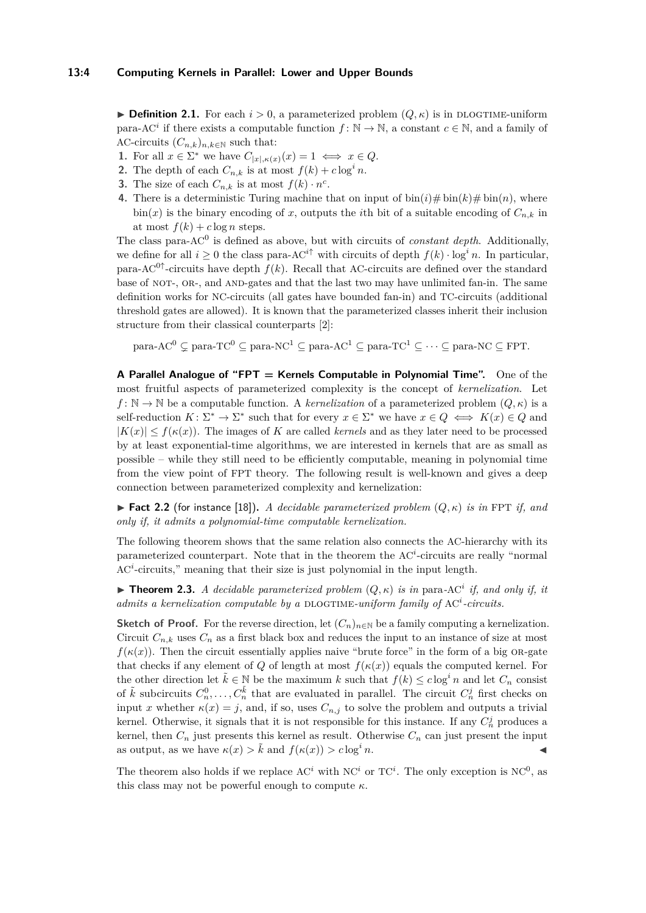**Definition 2.1.** For each  $i > 0$ , a parameterized problem  $(Q, \kappa)$  is in DLOGTIME-uniform para-AC<sup>*i*</sup> if there exists a computable function  $f: \mathbb{N} \to \mathbb{N}$ , a constant  $c \in \mathbb{N}$ , and a family of AC-circuits  $(C_{n,k})_{n,k\in\mathbb{N}}$  such that:

- **1.** For all  $x \in \Sigma^*$  we have  $C_{|x|, \kappa(x)}(x) = 1 \iff x \in Q$ .
- **2.** The depth of each  $C_{n,k}$  is at most  $f(k) + c \log^i n$ .
- **3.** The size of each  $C_{n,k}$  is at most  $f(k) \cdot n^c$ .
- **4.** There is a deterministic Turing machine that on input of  $\text{bin}(i) \# \text{bin}(k) \# \text{bin}(n)$ , where  $\sin(x)$  is the binary encoding of *x*, outputs the *i*th bit of a suitable encoding of  $C_{n,k}$  in at most  $f(k) + c \log n$  steps.

The class para-AC<sup>0</sup> is defined as above, but with circuits of *constant depth*. Additionally, we define for all  $i \geq 0$  the class para-AC<sup>*i* $\uparrow$ </sup> with circuits of depth  $f(k) \cdot \log^i n$ . In particular, para-AC<sup>0↑</sup>-circuits have depth  $f(k)$ . Recall that AC-circuits are defined over the standard base of NOT-, OR-, and AND-gates and that the last two may have unlimited fan-in. The same definition works for NC-circuits (all gates have bounded fan-in) and TC-circuits (additional threshold gates are allowed). It is known that the parameterized classes inherit their inclusion structure from their classical counterparts [\[2\]](#page-12-5):

para-AC<sup>0</sup>  $\subseteq$  para-TC<sup>0</sup>  $\subseteq$  para-NC<sup>1</sup>  $\subseteq$  para-AC<sup>1</sup>  $\subseteq$  para-TC<sup>1</sup>  $\subseteq$   $\cdots \subseteq$  para-NC  $\subseteq$  FPT.

**A Parallel Analogue of "FPT = Kernels Computable in Polynomial Time".** One of the most fruitful aspects of parameterized complexity is the concept of *kernelization*. Let  $f: \mathbb{N} \to \mathbb{N}$  be a computable function. A *kernelization* of a parameterized problem  $(Q, \kappa)$  is a self-reduction  $K: \Sigma^* \to \Sigma^*$  such that for every  $x \in \Sigma^*$  we have  $x \in Q \iff K(x) \in Q$  and  $|K(x)| \le f(\kappa(x))$ . The images of *K* are called *kernels* and as they later need to be processed by at least exponential-time algorithms, we are interested in kernels that are as small as possible – while they still need to be efficiently computable, meaning in polynomial time from the view point of FPT theory. The following result is well-known and gives a deep connection between parameterized complexity and kernelization:

**Fact 2.2** (for instance [\[18\]](#page-12-2)). A decidable parameterized problem  $(Q, \kappa)$  is in FPT if, and *only if, it admits a polynomial-time computable kernelization.*

The following theorem shows that the same relation also connects the AC-hierarchy with its parameterized counterpart. Note that in the theorem the AC<sup>*i*</sup>-circuits are really "normal AC<sup>*i*</sup>-circuits," meaning that their size is just polynomial in the input length.

<span id="page-3-0"></span>**Theorem 2.3.** *A decidable parameterized problem*  $(Q, \kappa)$  *is in* para-AC<sup>*i*</sup> *if, and only if, it* admits a kernelization computable by a DLOGTIME-uniform family of AC<sup>i</sup>-circuits.

**Sketch of Proof.** For the reverse direction, let  $(C_n)_{n\in\mathbb{N}}$  be a family computing a kernelization. Circuit  $C_{n,k}$  uses  $C_n$  as a first black box and reduces the input to an instance of size at most  $f(\kappa(x))$ . Then the circuit essentially applies naive "brute force" in the form of a big OR-gate that checks if any element of *Q* of length at most  $f(\kappa(x))$  equals the computed kernel. For the other direction let  $\tilde{k} \in \mathbb{N}$  be the maximum k such that  $f(k) \leq c \log^i n$  and let  $C_n$  consist of  $\tilde{k}$  subcircuits  $C_n^0, \ldots, C_n^{\tilde{k}}$  that are evaluated in parallel. The circuit  $C_n^j$  first checks on input *x* whether  $\kappa(x) = j$ , and, if so, uses  $C_{n,j}$  to solve the problem and outputs a trivial kernel. Otherwise, it signals that it is not responsible for this instance. If any  $C_n^j$  produces a kernel, then  $C_n$  just presents this kernel as result. Otherwise  $C_n$  can just present the input as output, as we have  $\kappa(x) > \tilde{k}$  and  $f(\kappa(x)) > c \log^i n$ .

The theorem also holds if we replace  $AC<sup>i</sup>$  with  $NC<sup>i</sup>$  or  $TC<sup>i</sup>$ . The only exception is  $NC<sup>0</sup>$ , as this class may not be powerful enough to compute  $\kappa$ .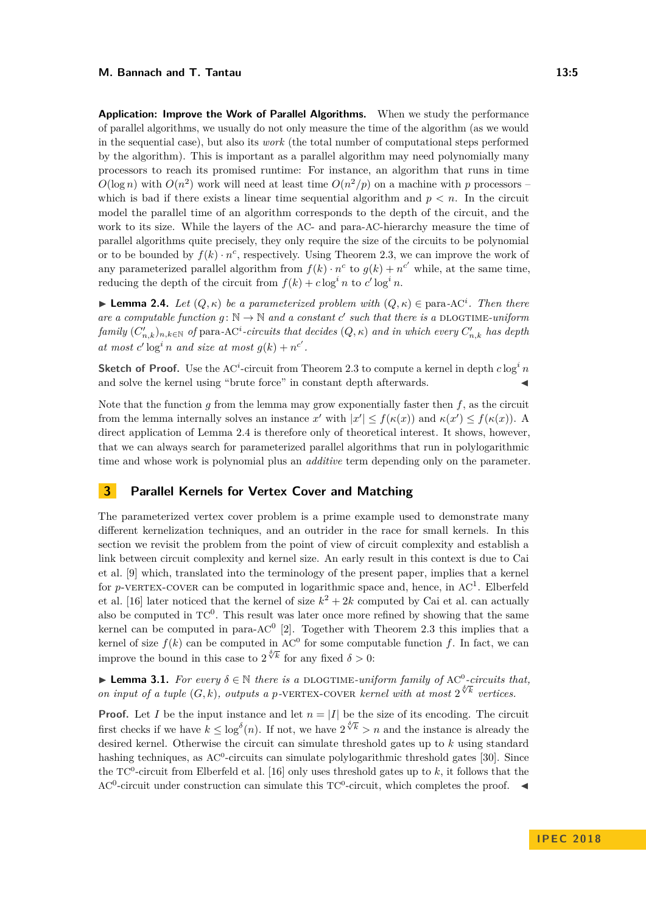#### **M. Bannach and T. Tantau 13:5**

**Application: Improve the Work of Parallel Algorithms.** When we study the performance of parallel algorithms, we usually do not only measure the time of the algorithm (as we would in the sequential case), but also its *work* (the total number of computational steps performed by the algorithm). This is important as a parallel algorithm may need polynomially many processors to reach its promised runtime: For instance, an algorithm that runs in time  $O(\log n)$  with  $O(n^2)$  work will need at least time  $O(n^2/p)$  on a machine with *p* processors – which is bad if there exists a linear time sequential algorithm and  $p < n$ . In the circuit model the parallel time of an algorithm corresponds to the depth of the circuit, and the work to its size. While the layers of the AC- and para-AC-hierarchy measure the time of parallel algorithms quite precisely, they only require the size of the circuits to be polynomial or to be bounded by  $f(k) \cdot n^c$ , respectively. Using Theorem [2.3,](#page-3-0) we can improve the work of any parameterized parallel algorithm from  $f(k) \cdot n^c$  to  $g(k) + n^{c'}$  while, at the same time, reducing the depth of the circuit from  $f(k) + c \log^i n$  to  $c' \log^i n$ .

<span id="page-4-1"></span> $▶$  **Lemma 2.4.** *Let*  $(Q, \kappa)$  *be a parameterized problem with*  $(Q, \kappa) \in \text{para-AC}^i$ . *Then there are a computable function*  $g: \mathbb{N} \to \mathbb{N}$  and a constant  $c'$  such that there is a DLOGTIME-uniform  $f$ *amily*  $(C'_{n,k})_{n,k\in\mathbb{N}}$  *of* para-AC<sup>*i*</sup>-circuits that decides  $(Q, \kappa)$  *and in which every*  $C'_{n,k}$  *has depth* at most  $c' \log^i n$  and size at most  $g(k) + n^{c'}$ .

**Sketch of Proof.** Use the AC<sup>*i*</sup>-circuit from Theorem [2.3](#page-3-0) to compute a kernel in depth  $c \log^i n$ and solve the kernel using "brute force" in constant depth afterwards.

Note that the function *g* from the lemma may grow exponentially faster then *f*, as the circuit from the lemma internally solves an instance *x'* with  $|x'| \le f(\kappa(x))$  and  $\kappa(x') \le f(\kappa(x))$ . A direct application of Lemma [2.4](#page-4-1) is therefore only of theoretical interest. It shows, however, that we can always search for parameterized parallel algorithms that run in polylogarithmic time and whose work is polynomial plus an *additive* term depending only on the parameter.

## <span id="page-4-0"></span>**3 Parallel Kernels for Vertex Cover and Matching**

The parameterized vertex cover problem is a prime example used to demonstrate many different kernelization techniques, and an outrider in the race for small kernels. In this section we revisit the problem from the point of view of circuit complexity and establish a link between circuit complexity and kernel size. An early result in this context is due to Cai et al. [\[9\]](#page-12-3) which, translated into the terminology of the present paper, implies that a kernel for  $p$ -vERTEX-COVER can be computed in logarithmic space and, hence, in  $AC^1$ . Elberfeld et al. [\[16\]](#page-12-4) later noticed that the kernel of size  $k^2 + 2k$  computed by Cai et al. can actually also be computed in  $TC^0$ . This result was later once more refined by showing that the same kernel can be computed in para- $AC^0$  [\[2\]](#page-12-5). Together with Theorem [2.3](#page-3-0) this implies that a kernel of size  $f(k)$  can be computed in AC<sup>0</sup> for some computable function f. In fact, we can improve the bound in this case to  $2^{\sqrt[3]{k}}$  for any fixed  $\delta > 0$ :

<span id="page-4-2"></span>**► Lemma 3.1.** For every  $\delta \in \mathbb{N}$  there is a DLOGTIME-uniform family of AC<sup>0</sup>-circuits that, **a** *on input of a tuple*  $(G, k)$ *, outputs a p*-vERTEX-COVER *kernel with at most*  $2^{\sqrt[3]{k}}$  *vertices.* 

**Proof.** Let *I* be the input instance and let  $n = |I|$  be the size of its encoding. The circuit first checks if we have  $k \leq \log^{\delta}(n)$ . If not, we have  $2^{\sqrt[{\delta}]{k}} > n$  and the instance is already the desired kernel. Otherwise the circuit can simulate threshold gates up to *k* using standard hashing techniques, as  $AC^0$ -circuits can simulate polylogarithmic threshold gates [\[30\]](#page-13-1). Since the  $TC^0$ -circuit from Elberfeld et al. [\[16\]](#page-12-4) only uses threshold gates up to  $k$ , it follows that the AC<sup>0</sup>-circuit under construction can simulate this  $TC^0$ -circuit, which completes the proof.  $\blacktriangleleft$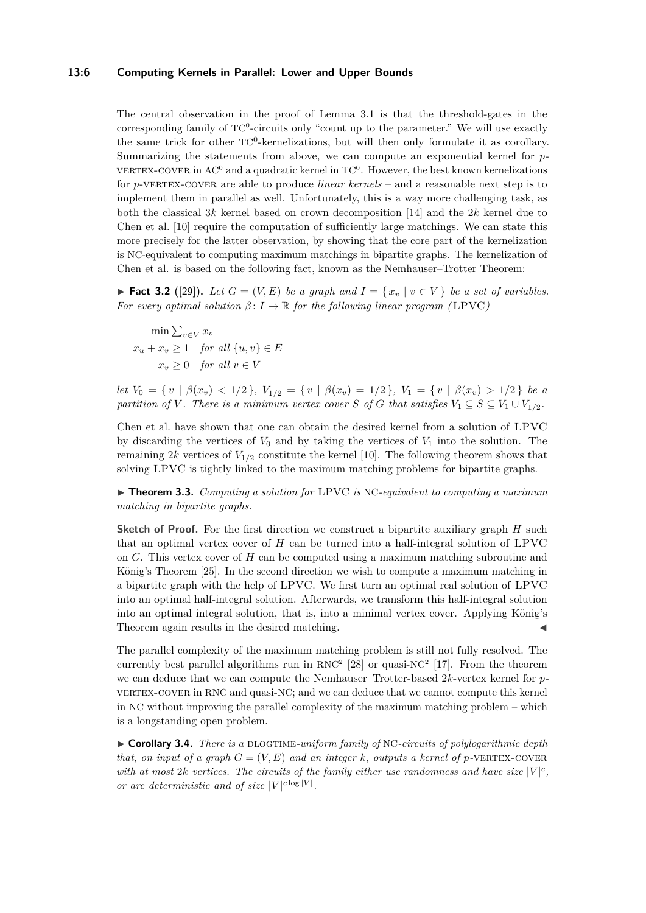#### **13:6 Computing Kernels in Parallel: Lower and Upper Bounds**

The central observation in the proof of Lemma [3.1](#page-4-2) is that the threshold-gates in the corresponding family of  $TC^0$ -circuits only "count up to the parameter." We will use exactly the same trick for other TC<sup>0</sup>-kernelizations, but will then only formulate it as corollary. Summarizing the statements from above, we can compute an exponential kernel for *p*-VERTEX-COVER in AC<sup>0</sup> and a quadratic kernel in  $TC^{0}$ . However, the best known kernelizations for *p*-vertex-cover are able to produce *linear kernels* – and a reasonable next step is to implement them in parallel as well. Unfortunately, this is a way more challenging task, as both the classical 3*k* kernel based on crown decomposition [\[14\]](#page-12-0) and the 2*k* kernel due to Chen et al. [\[10\]](#page-12-7) require the computation of sufficiently large matchings. We can state this more precisely for the latter observation, by showing that the core part of the kernelization is NC-equivalent to computing maximum matchings in bipartite graphs. The kernelization of Chen et al. is based on the following fact, known as the Nemhauser–Trotter Theorem:

▶ **Fact 3.2** ([\[29\]](#page-13-2)). Let  $G = (V, E)$  be a graph and  $I = \{x_v | v \in V\}$  be a set of variables. *For every optimal solution*  $\beta: I \to \mathbb{R}$  *for the following linear program (LPVC)* 

 $\min \sum_{v \in V} x_v$  $x_u + x_v \geq 1$  *for all*  $\{u, v\} \in E$  $x_v > 0$  *for all*  $v \in V$ 

let  $V_0 = \{v \mid \beta(x_v) < 1/2\}$ ,  $V_{1/2} = \{v \mid \beta(x_v) = 1/2\}$ ,  $V_1 = \{v \mid \beta(x_v) > 1/2\}$  be a *partition of V*. There is a minimum vertex cover *S* of *G* that satisfies  $V_1 \subseteq S \subseteq V_1 \cup V_1$ <sub>1/2</sub>.

Chen et al. have shown that one can obtain the desired kernel from a solution of LPVC by discarding the vertices of  $V_0$  and by taking the vertices of  $V_1$  into the solution. The remaining  $2k$  vertices of  $V_{1/2}$  constitute the kernel [\[10\]](#page-12-7). The following theorem shows that solving LPVC is tightly linked to the maximum matching problems for bipartite graphs.

<span id="page-5-0"></span>I **Theorem 3.3.** *Computing a solution for* LPVC *is* NC*-equivalent to computing a maximum matching in bipartite graphs.*

**Sketch of Proof.** For the first direction we construct a bipartite auxiliary graph *H* such that an optimal vertex cover of *H* can be turned into a half-integral solution of LPVC on *G*. This vertex cover of *H* can be computed using a maximum matching subroutine and König's Theorem [\[25\]](#page-13-3). In the second direction we wish to compute a maximum matching in a bipartite graph with the help of LPVC. We first turn an optimal real solution of LPVC into an optimal half-integral solution. Afterwards, we transform this half-integral solution into an optimal integral solution, that is, into a minimal vertex cover. Applying König's Theorem again results in the desired matching.

The parallel complexity of the maximum matching problem is still not fully resolved. The currently best parallel algorithms run in  $RNC^2$  [\[28\]](#page-13-4) or quasi-NC<sup>2</sup> [\[17\]](#page-12-8). From the theorem we can deduce that we can compute the Nemhauser–Trotter-based 2*k*-vertex kernel for *p*vertex-cover in RNC and quasi-NC; and we can deduce that we cannot compute this kernel in NC without improving the parallel complexity of the maximum matching problem – which is a longstanding open problem.

▶ **Corollary 3.4.** *There is a* DLOGTIME-uniform family of NC-circuits of polylogarithmic depth *that, on input of a graph*  $G = (V, E)$  *and an integer k, outputs a kernel of p*-vERTEX-COVER with at most 2*k* vertices. The circuits of the family either use randomness and have size  $|V|^c$ . *or are deterministic and of size*  $|V|^{c \log |V|}$ .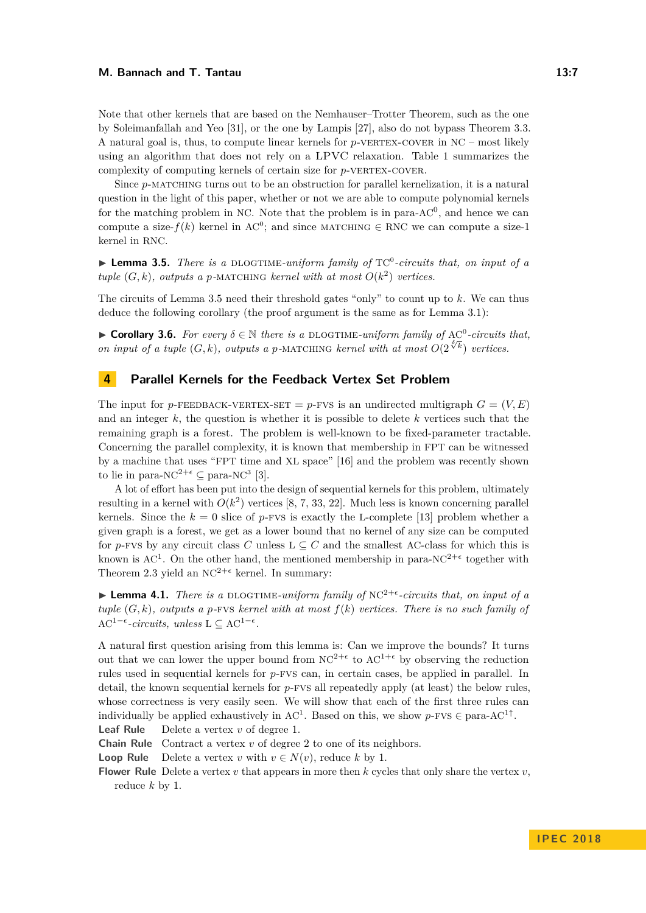#### **M. Bannach and T. Tantau 13:7**

Note that other kernels that are based on the Nemhauser–Trotter Theorem, such as the one by Soleimanfallah and Yeo [\[31\]](#page-13-5), or the one by Lampis [\[27\]](#page-13-6), also do not bypass Theorem [3.3.](#page-5-0) A natural goal is, thus, to compute linear kernels for *p*-vertex-cover in NC – most likely using an algorithm that does not rely on a LPVC relaxation. Table [1](#page-2-0) summarizes the complexity of computing kernels of certain size for *p*-VERTEX-COVER.

Since p-MATCHING turns out to be an obstruction for parallel kernelization, it is a natural question in the light of this paper, whether or not we are able to compute polynomial kernels for the matching problem in NC. Note that the problem is in para- $AC<sup>0</sup>$ , and hence we can compute a size- $f(k)$  kernel in AC<sup>0</sup>; and since MATCHING ∈ RNC we can compute a size-1 kernel in RNC.

<span id="page-6-1"></span>▶ Lemma 3.5. *There is a* DLOGTIME-uniform family of TC<sup>0</sup>-circuits that, on input of a *tuple*  $(G, k)$ *, outputs a p*-MATCHING *kernel with at most*  $O(k^2)$  *vertices.* 

The circuits of Lemma [3.5](#page-6-1) need their threshold gates "only" to count up to *k*. We can thus deduce the following corollary (the proof argument is the same as for Lemma [3.1\)](#page-4-2):

**► Corollary 3.6.** *For every*  $\delta \in \mathbb{N}$  *there is a* DLOGTIME-uniform family of AC<sup>0</sup>-circuits that, *on input of a tuple*  $(G, k)$ *, outputs a p*-MATCHING *kernel with at most*  $O(2^{\sqrt[3]{k}})$  *vertices.* 

## <span id="page-6-0"></span>**4 Parallel Kernels for the Feedback Vertex Set Problem**

The input for *p*-FEEDBACK-VERTEX-SET = *p*-FVS is an undirected multigraph  $G = (V, E)$ and an integer *k*, the question is whether it is possible to delete *k* vertices such that the remaining graph is a forest. The problem is well-known to be fixed-parameter tractable. Concerning the parallel complexity, it is known that membership in FPT can be witnessed by a machine that uses "FPT time and XL space" [\[16\]](#page-12-4) and the problem was recently shown to lie in para-NC<sup>2+ $\epsilon$ </sup>  $\subseteq$  para-NC<sup>3</sup> [\[3\]](#page-12-9).

A lot of effort has been put into the design of sequential kernels for this problem, ultimately resulting in a kernel with  $O(k^2)$  vertices [\[8,](#page-12-10) [7,](#page-12-11) [33,](#page-13-7) [22\]](#page-13-8). Much less is known concerning parallel kernels. Since the  $k = 0$  slice of *p*-FVs is exactly the L-complete [\[13\]](#page-12-12) problem whether a given graph is a forest, we get as a lower bound that no kernel of any size can be computed for *p*-FVS by any circuit class *C* unless  $L \subseteq C$  and the smallest AC-class for which this is known is AC<sup>1</sup>. On the other hand, the mentioned membership in para-NC<sup>2+ $\epsilon$ </sup> together with Theorem [2.3](#page-3-0) yield an  $NC^{2+\epsilon}$  kernel. In summary:

<span id="page-6-2"></span>**Lemma 4.1.** *There is a* DLOGTIME-uniform family of  $NC^{2+\epsilon}$ -circuits that, on input of a *tuple*  $(G, k)$ *, outputs a p*-*FVS kernel with at most*  $f(k)$  *vertices. There is no such family of*  $AC^{1-\epsilon}$ -*circuits, unless*  $L \subseteq AC^{1-\epsilon}$ .

A natural first question arising from this lemma is: Can we improve the bounds? It turns out that we can lower the upper bound from  $NC^{2+\epsilon}$  to  $AC^{1+\epsilon}$  by observing the reduction rules used in sequential kernels for *p*-fvs can, in certain cases, be applied in parallel. In detail, the known sequential kernels for *p*-fvs all repeatedly apply (at least) the below rules, whose correctness is very easily seen. We will show that each of the first three rules can individually be applied exhaustively in AC<sup>1</sup>. Based on this, we show  $p$ -FVS  $\in$  para-AC<sup>1↑</sup>. **Leaf Rule** Delete a vertex *v* of degree 1.

**Chain Rule** Contract a vertex *v* of degree 2 to one of its neighbors.

**Loop Rule** Delete a vertex *v* with  $v \in N(v)$ , reduce *k* by 1.

**Flower Rule** Delete a vertex *v* that appears in more then *k* cycles that only share the vertex *v*, reduce *k* by 1.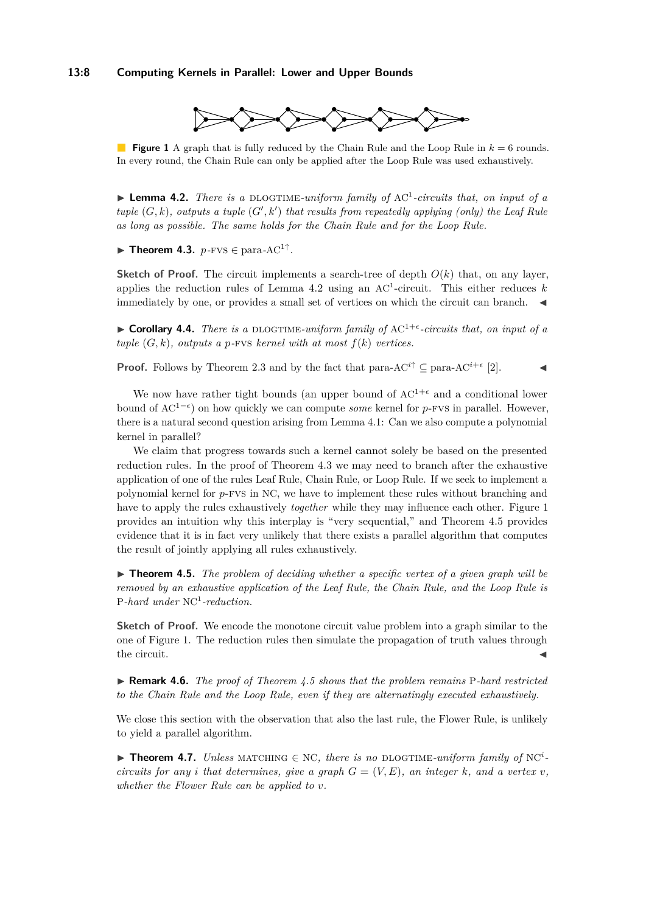#### **13:8 Computing Kernels in Parallel: Lower and Upper Bounds**



<span id="page-7-2"></span>**Figure 1** A graph that is fully reduced by the Chain Rule and the Loop Rule in *k* = 6 rounds. In every round, the Chain Rule can only be applied after the Loop Rule was used exhaustively.

<span id="page-7-0"></span>▶ Lemma 4.2. *There is a DLOGTIME-uniform family of AC<sup>1</sup>-circuits that, on input of a*  $tuple (G, k)$ , outputs a tuple  $(G', k')$  that results from repeatedly applying (only) the Leaf Rule *as long as possible. The same holds for the Chain Rule and for the Loop Rule.*

<span id="page-7-1"></span> $\blacktriangleright$  **Theorem 4.3.**  $p$ -FVS  $\in$  para-AC<sup>1†</sup>.

**Sketch of Proof.** The circuit implements a search-tree of depth  $O(k)$  that, on any layer, applies the reduction rules of Lemma  $4.2$  using an AC<sup>1</sup>-circuit. This either reduces k immediately by one, or provides a small set of vertices on which the circuit can branch.

 $\triangleright$  **Corollary 4.4.** *There is a* DLOGTIME-uniform family of AC<sup>1+ $\epsilon$ </sup>-circuits that, on input of a *tuple*  $(G, k)$ *, outputs a p-FVS kernel with at most*  $f(k)$  *vertices.* 

**Proof.** Follows by Theorem [2.3](#page-3-0) and by the fact that para-AC<sup>*i*</sup><sup>†</sup> ⊆ para-AC<sup>*i*+ $\epsilon$ </sup> [\[2\]](#page-12-5).

We now have rather tight bounds (an upper bound of  $AC^{1+\epsilon}$  and a conditional lower bound of AC1− ) on how quickly we can compute *some* kernel for *p*-fvs in parallel. However, there is a natural second question arising from Lemma [4.1:](#page-6-2) Can we also compute a polynomial kernel in parallel?

We claim that progress towards such a kernel cannot solely be based on the presented reduction rules. In the proof of Theorem [4.3](#page-7-1) we may need to branch after the exhaustive application of one of the rules Leaf Rule, Chain Rule, or Loop Rule. If we seek to implement a polynomial kernel for *p*-fvs in NC, we have to implement these rules without branching and have to apply the rules exhaustively *together* while they may influence each other. Figure [1](#page-7-2) provides an intuition why this interplay is "very sequential," and Theorem [4.5](#page-7-3) provides evidence that it is in fact very unlikely that there exists a parallel algorithm that computes the result of jointly applying all rules exhaustively.

<span id="page-7-3"></span>▶ **Theorem 4.5.** *The problem of deciding whether a specific vertex of a given graph will be removed by an exhaustive application of the Leaf Rule, the Chain Rule, and the Loop Rule is* P*-hard under* NC<sup>1</sup> *-reduction.*

**Sketch of Proof.** We encode the monotone circuit value problem into a graph similar to the one of Figure [1.](#page-7-2) The reduction rules then simulate the propagation of truth values through  $\blacksquare$  the circuit.

I **Remark 4.6.** *The proof of Theorem [4.5](#page-7-3) shows that the problem remains* P*-hard restricted to the Chain Rule and the Loop Rule, even if they are alternatingly executed exhaustively.*

We close this section with the observation that also the last rule, the Flower Rule, is unlikely to yield a parallel algorithm.

**► Theorem 4.7.** *Unless* MATCHING  $\in$  NC, there is no DLOGTIME-uniform family of NC<sup>i</sup>*circuits for any i that determines, give a graph*  $G = (V, E)$ *, an integer*  $k$ *, and a vertex v, whether the Flower Rule can be applied to v.*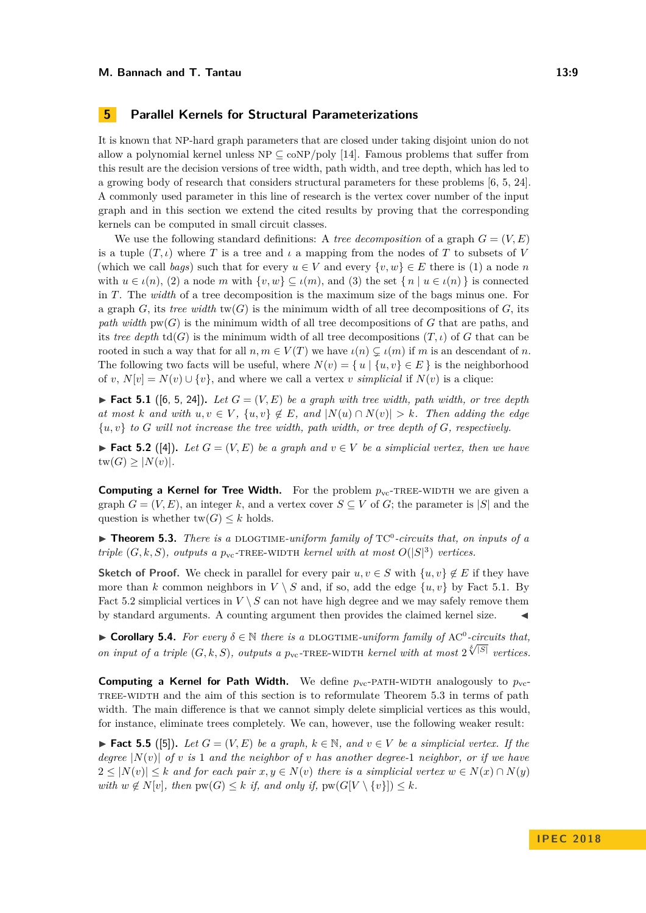## <span id="page-8-0"></span>**5 Parallel Kernels for Structural Parameterizations**

It is known that NP-hard graph parameters that are closed under taking disjoint union do not allow a polynomial kernel unless  $NP \subseteq \text{coNP}/poly$  [\[14\]](#page-12-0). Famous problems that suffer from this result are the decision versions of tree width, path width, and tree depth, which has led to a growing body of research that considers structural parameters for these problems [\[6,](#page-12-13) [5,](#page-12-14) [24\]](#page-13-9). A commonly used parameter in this line of research is the vertex cover number of the input graph and in this section we extend the cited results by proving that the corresponding kernels can be computed in small circuit classes.

We use the following standard definitions: A *tree decomposition* of a graph  $G = (V, E)$ is a tuple  $(T, \iota)$  where *T* is a tree and  $\iota$  a mapping from the nodes of *T* to subsets of *V* (which we call *bags*) such that for every  $u \in V$  and every  $\{v, w\} \in E$  there is (1) a node *n* with  $u \in \iota(n)$ , (2) a node *m* with  $\{v, w\} \subseteq \iota(m)$ , and (3) the set  $\{n \mid u \in \iota(n)\}$  is connected in *T*. The *width* of a tree decomposition is the maximum size of the bags minus one. For a graph  $G$ , its *tree width* tw $(G)$  is the minimum width of all tree decompositions of  $G$ , its *path width*  $\text{pw}(G)$  is the minimum width of all tree decompositions of  $G$  that are paths, and its *tree depth*  $td(G)$  is the minimum width of all tree decompositions  $(T, \iota)$  of *G* that can be rooted in such a way that for all  $n, m \in V(T)$  we have  $\iota(n) \subsetneq \iota(m)$  if *m* is an descendant of *n*. The following two facts will be useful, where  $N(v) = \{u \mid \{u, v\} \in E\}$  is the neighborhood of *v*,  $N[v] = N(v) \cup \{v\}$ , and where we call a vertex *v simplicial* if  $N(v)$  is a clique:

<span id="page-8-1"></span>▶ **Fact 5.1** ([\[6,](#page-12-13) [5,](#page-12-14) [24\]](#page-13-9)). Let  $G = (V, E)$  be a graph with tree width, path width, or tree depth *at most k and with*  $u, v \in V$ ,  $\{u, v\} \notin E$ , *and*  $|N(u) \cap N(v)| > k$ *. Then adding the edge* {*u, v*} *to G will not increase the tree width, path width, or tree depth of G, respectively.*

<span id="page-8-2"></span>▶ **Fact 5.2** ([\[4\]](#page-12-15)). Let  $G = (V, E)$  be a graph and  $v \in V$  be a simplicial vertex, then we have  $tw(G) \geq |N(v)|$ .

**Computing a Kernel for Tree Width.** For the problem  $p_{\text{vc}}$ -TREE-WIDTH we are given a graph  $G = (V, E)$ , an integer k, and a vertex cover  $S \subseteq V$  of G; the parameter is |S| and the question is whether  $tw(G) \leq k$  holds.

<span id="page-8-3"></span>▶ **Theorem 5.3.** *There is a* DLOGTIME-uniform family of TC<sup>0</sup>-circuits that, on inputs of a *triple*  $(G, k, S)$ *, outputs a*  $p_{vc}$ -TREE-WIDTH *kernel with at most*  $O(|S|^3)$  *vertices.* 

**Sketch of Proof.** We check in parallel for every pair  $u, v \in S$  with  $\{u, v\} \notin E$  if they have more than *k* common neighbors in  $V \setminus S$  and, if so, add the edge  $\{u, v\}$  by Fact [5.1.](#page-8-1) By Fact [5.2](#page-8-2) simplicial vertices in  $V \setminus S$  can not have high degree and we may safely remove them by standard arguments. A counting argument then provides the claimed kernel size.

**► Corollary 5.4.** *For every*  $\delta \in \mathbb{N}$  *there is a* DLOGTIME-uniform family of AC<sup>0</sup>-circuits that, *on input of a triple*  $(G, k, S)$ *, outputs a p*<sub>vc</sub>-TREE-WIDTH *kernel with at most*  $2^{\sqrt[8]{|S|}}$  *vertices.* 

**Computing a Kernel for Path Width.** We define  $p_{\text{vc}}$ -PATH-WIDTH analogously to  $p_{\text{vc}}$ -TREE-WIDTH and the aim of this section is to reformulate Theorem [5.3](#page-8-3) in terms of path width. The main difference is that we cannot simply delete simplicial vertices as this would, for instance, eliminate trees completely. We can, however, use the following weaker result:

<span id="page-8-4"></span>► **Fact 5.5** ([\[5\]](#page-12-14)). Let  $G = (V, E)$  be a graph,  $k \in \mathbb{N}$ , and  $v \in V$  be a simplicial vertex. If the *degree*  $|N(v)|$  *of v is* 1 *and the neighbor of v has another degree-*1 *neighbor, or if we have*  $2 \leq |N(v)| \leq k$  and for each pair  $x, y \in N(v)$  there is a simplicial vertex  $w \in N(x) \cap N(y)$ *with*  $w \notin N[v]$ *, then*  $pw(G) \leq k$  *if, and only if,*  $pw(G[V \setminus \{v\}]) \leq k$ *.*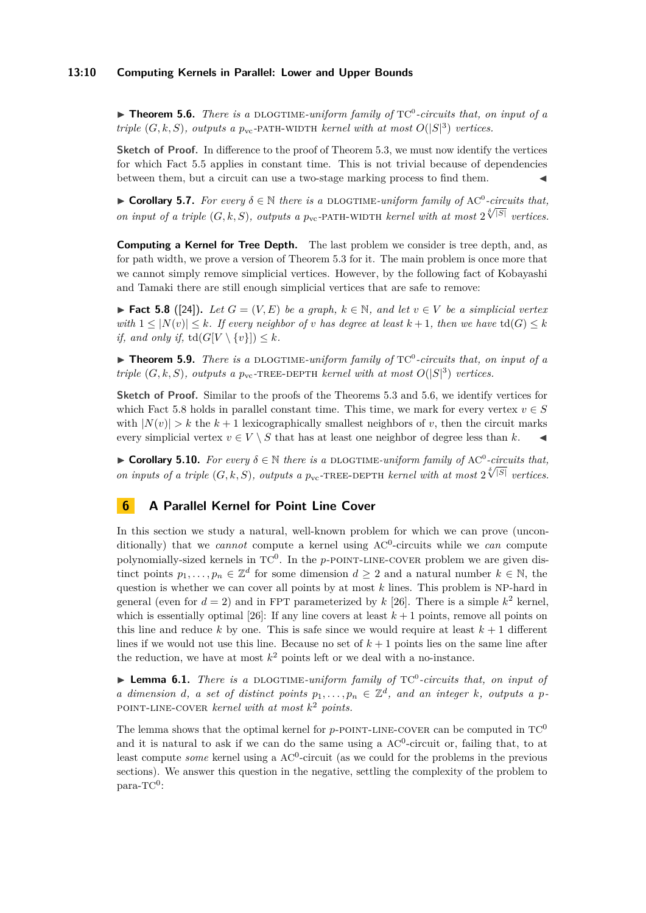#### **13:10 Computing Kernels in Parallel: Lower and Upper Bounds**

<span id="page-9-1"></span>▶ **Theorem 5.6.** *There is a DLOGTIME-uniform family of*  $TC^0$ -circuits that, on input of a *triple*  $(G, k, S)$ *, outputs a*  $p_{vc}$ -PATH-WIDTH *kernel with at most*  $O(|S|^3)$  *vertices.* 

**Sketch of Proof.** In difference to the proof of Theorem [5.3,](#page-8-3) we must now identify the vertices for which Fact [5.5](#page-8-4) applies in constant time. This is not trivial because of dependencies between them, but a circuit can use a two-stage marking process to find them.

**► Corollary 5.7.** *For every*  $\delta \in \mathbb{N}$  *there is a* DLOGTIME-uniform family of AC<sup>0</sup>-circuits that, *on input of a triple*  $(G, k, S)$ *, outputs a p*<sub>vc</sub>-PATH-WIDTH *kernel with at most*  $2^{\sqrt[8]{|S|}}$  *vertices.* 

**Computing a Kernel for Tree Depth.** The last problem we consider is tree depth, and, as for path width, we prove a version of Theorem [5.3](#page-8-3) for it. The main problem is once more that we cannot simply remove simplicial vertices. However, by the following fact of Kobayashi and Tamaki there are still enough simplicial vertices that are safe to remove:

<span id="page-9-2"></span>▶ **Fact 5.8** ([\[24\]](#page-13-9)). Let  $G = (V, E)$  be a graph,  $k \in \mathbb{N}$ , and let  $v \in V$  be a simplicial vertex *with*  $1 \leq |N(v)| \leq k$ *. If every neighbor of v has degree at least*  $k+1$ *, then we have* td $(G) \leq k$ *if, and only if,*  $td(G[V \setminus \{v\}]) \leq k$ *.* 

▶ **Theorem 5.9.** *There is a* DLOGTIME-uniform family of TC<sup>0</sup>-circuits that, on input of a *triple*  $(G, k, S)$ *, outputs a*  $p_{vc}$ -TREE-DEPTH *kernel with at most*  $O(|S|^3)$  *vertices.* 

**Sketch of Proof.** Similar to the proofs of the Theorems [5.3](#page-8-3) and [5.6,](#page-9-1) we identify vertices for which Fact [5.8](#page-9-2) holds in parallel constant time. This time, we mark for every vertex  $v \in S$ with  $|N(v)| > k$  the  $k+1$  lexicographically smallest neighbors of v, then the circuit marks every simplicial vertex  $v \in V \setminus S$  that has at least one neighbor of degree less than k.

**► Corollary 5.10.** *For every*  $\delta \in \mathbb{N}$  *there is a* DLOGTIME-uniform family of AC<sup>0</sup>-circuits that, *on inputs of a triple*  $(G, k, S)$ *, outputs a p*<sub>vc</sub>-TREE-DEPTH *kernel with at most*  $2^{\sqrt[5]{|S|}}$  *vertices.* 

## <span id="page-9-0"></span>**6 A Parallel Kernel for Point Line Cover**

In this section we study a natural, well-known problem for which we can prove (unconditionally) that we *cannot* compute a kernel using AC<sup>0</sup>-circuits while we *can* compute polynomially-sized kernels in TC<sup>0</sup>. In the *p*-POINT-LINE-COVER problem we are given distinct points  $p_1, \ldots, p_n \in \mathbb{Z}^d$  for some dimension  $d \geq 2$  and a natural number  $k \in \mathbb{N}$ , the question is whether we can cover all points by at most *k* lines. This problem is NP-hard in general (even for  $d = 2$ ) and in FPT parameterized by  $k$  [\[26\]](#page-13-10). There is a simple  $k^2$  kernel, which is essentially optimal  $[26]$ : If any line covers at least  $k+1$  points, remove all points on this line and reduce  $k$  by one. This is safe since we would require at least  $k + 1$  different lines if we would not use this line. Because no set of  $k + 1$  points lies on the same line after the reduction, we have at most  $k^2$  points left or we deal with a no-instance.

▶ Lemma 6.1. *There is a* DLOGTIME-uniform family of TC<sup>0</sup>-circuits that, on input of *a* dimension *d*, *a* set of distinct points  $p_1, \ldots, p_n \in \mathbb{Z}^d$ , and an integer *k*, outputs *a p*point-line-cover *kernel with at most k* <sup>2</sup> *points.*

The lemma shows that the optimal kernel for  $p$ -point-LINE-COVER can be computed in  $TC^0$ and it is natural to ask if we can do the same using a  $AC<sup>0</sup>$ -circuit or, failing that, to at least compute *some* kernel using a AC<sup>0</sup>-circuit (as we could for the problems in the previous sections). We answer this question in the negative, settling the complexity of the problem to  $\text{para-TC}^0$ :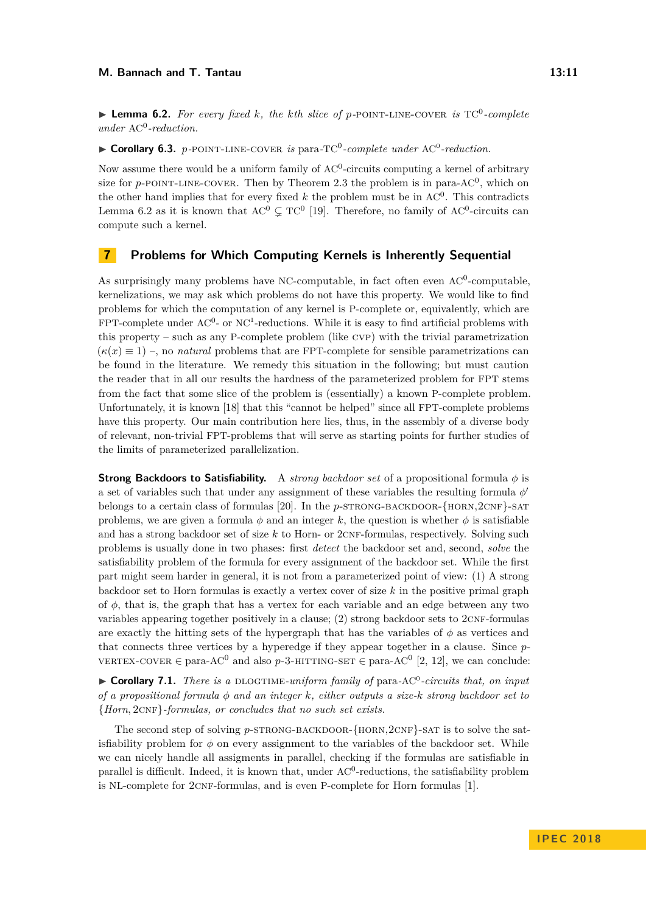<span id="page-10-1"></span> $\blacktriangleright$  **Lemma 6.2.** For every fixed *k*, the *k*th slice of *p*-POINT-LINE-COVER is TC<sup>0</sup>-complete *under* AC<sup>0</sup> *-reduction.*

▶ Corollary 6.3. *p*-POINT-LINE-COVER *is* para-TC<sup>0</sup>-complete under AC<sup>0</sup>-reduction.

Now assume there would be a uniform family of  $AC^0$ -circuits computing a kernel of arbitrary size for  $p$ -POINT-LINE-COVER. Then by Theorem [2.3](#page-3-0) the problem is in para-AC<sup>0</sup>, which on the other hand implies that for every fixed  $k$  the problem must be in  $AC^0$ . This contradicts Lemma [6.2](#page-10-1) as it is known that  $AC^0 \subsetneq TC^0$  [\[19\]](#page-12-16). Therefore, no family of AC<sup>0</sup>-circuits can compute such a kernel.

## <span id="page-10-0"></span>**7 Problems for Which Computing Kernels is Inherently Sequential**

As surprisingly many problems have NC-computable, in fact often even  $AC^0$ -computable, kernelizations, we may ask which problems do not have this property. We would like to find problems for which the computation of any kernel is P-complete or, equivalently, which are FPT-complete under  $AC^0$ - or  $NC^1$ -reductions. While it is easy to find artificial problems with this property – such as any P-complete problem (like cvp) with the trivial parametrization  $(\kappa(x) \equiv 1)$  –, no *natural* problems that are FPT-complete for sensible parametrizations can be found in the literature. We remedy this situation in the following; but must caution the reader that in all our results the hardness of the parameterized problem for FPT stems from the fact that some slice of the problem is (essentially) a known P-complete problem. Unfortunately, it is known [\[18\]](#page-12-2) that this "cannot be helped" since all FPT-complete problems have this property. Our main contribution here lies, thus, in the assembly of a diverse body of relevant, non-trivial FPT-problems that will serve as starting points for further studies of the limits of parameterized parallelization.

**Strong Backdoors to Satisfiability.** A *strong backdoor set* of a propositional formula *φ* is a set of variables such that under any assignment of these variables the resulting formula  $\phi'$ belongs to a certain class of formulas [\[20\]](#page-13-11). In the *p*-strong-backdoor-{horn,2cnF}-sat problems, we are given a formula  $\phi$  and an integer k, the question is whether  $\phi$  is satisfiable and has a strong backdoor set of size k to Horn- or 2CNF-formulas, respectively. Solving such problems is usually done in two phases: first *detect* the backdoor set and, second, *solve* the satisfiability problem of the formula for every assignment of the backdoor set. While the first part might seem harder in general, it is not from a parameterized point of view: (1) A strong backdoor set to Horn formulas is exactly a vertex cover of size *k* in the positive primal graph of  $\phi$ , that is, the graph that has a vertex for each variable and an edge between any two variables appearing together positively in a clause;  $(2)$  strong backdoor sets to  $2CNF-formulas$ are exactly the hitting sets of the hypergraph that has the variables of  $\phi$  as vertices and that connects three vertices by a hyperedge if they appear together in a clause. Since *p* $v$ ERTEX-COVER ∈ para-AC<sup>0</sup> and also p-3-HITTING-SET ∈ para-AC<sup>0</sup> [\[2,](#page-12-5) [12\]](#page-12-17), we can conclude:

▶ Corollary 7.1. *There is a* DLOGTIME-uniform family of para-AC<sup>0</sup>-circuits that, on input *of a propositional formula φ and an integer k, either outputs a size-k strong backdoor set to* {*Horn,* 2cnf}*-formulas, or concludes that no such set exists.*

The second step of solving *p*-STRONG-BACKDOOR-{HORN, 2CNF}-SAT is to solve the satisfiability problem for  $\phi$  on every assignment to the variables of the backdoor set. While we can nicely handle all assigments in parallel, checking if the formulas are satisfiable in parallel is difficult. Indeed, it is known that, under  $AC<sup>0</sup>$ -reductions, the satisfiability problem is NL-complete for  $2CNF$ -formulas, and is even P-complete for Horn formulas [\[1\]](#page-12-18).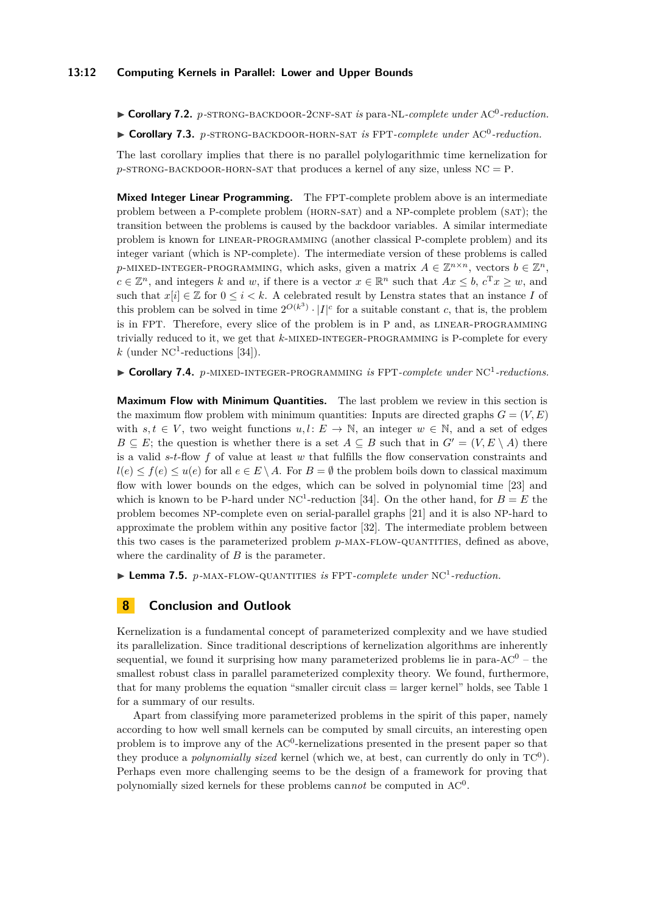#### **13:12 Computing Kernels in Parallel: Lower and Upper Bounds**

▶ Corollary 7.2. *p*-STRONG-BACKDOOR-2CNF-SAT *is* para-NL-*complete under* AC<sup>0</sup>-reduction.

▶ Corollary 7.3. *p*-STRONG-BACKDOOR-HORN-SAT *is* FPT-*complete under* AC<sup>0</sup>-reduction.

The last corollary implies that there is no parallel polylogarithmic time kernelization for  $p$ -strong-backdoor-horn-sat that produces a kernel of any size, unless  $NC = P$ .

**Mixed Integer Linear Programming.** The FPT-complete problem above is an intermediate problem between a P-complete problem (horn-sat) and a NP-complete problem (sat); the transition between the problems is caused by the backdoor variables. A similar intermediate problem is known for linear-programming (another classical P-complete problem) and its integer variant (which is NP-complete). The intermediate version of these problems is called  $p$ -MIXED-INTEGER-PROGRAMMING, which asks, given a matrix  $A \in \mathbb{Z}^{n \times n}$ , vectors  $b \in \mathbb{Z}^n$ ,  $c \in \mathbb{Z}^n$ , and integers *k* and *w*, if there is a vector  $x \in \mathbb{R}^n$  such that  $Ax \leq b$ ,  $c^T x \geq w$ , and such that  $x[i] \in \mathbb{Z}$  for  $0 \leq i \leq k$ . A celebrated result by Lenstra states that an instance *I* of this problem can be solved in time  $2^{O(k^3)} \cdot |I|^c$  for a suitable constant *c*, that is, the problem is in FPT. Therefore, every slice of the problem is in P and, as linear-programming trivially reduced to it, we get that *k*-mixed-integer-programming is P-complete for every  $k$  (under NC<sup>1</sup>-reductions [\[34\]](#page-13-12)).

▶ Corollary 7.4. *p*-MIXED-INTEGER-PROGRAMMING *is* FPT-complete under NC<sup>1</sup>-reductions.

**Maximum Flow with Minimum Quantities.** The last problem we review in this section is the maximum flow problem with minimum quantities: Inputs are directed graphs  $G = (V, E)$ with  $s, t \in V$ , two weight functions  $u, l \colon E \to \mathbb{N}$ , an integer  $w \in \mathbb{N}$ , and a set of edges *B*  $\subseteq$  *E*; the question is whether there is a set *A*  $\subseteq$  *B* such that in *G*<sup> $\prime$ </sup> = (*V, E* \ *A*) there is a valid *s*-*t*-flow *f* of value at least *w* that fulfills the flow conservation constraints and  $l(e) \leq f(e) \leq u(e)$  for all  $e \in E \setminus A$ . For  $B = \emptyset$  the problem boils down to classical maximum flow with lower bounds on the edges, which can be solved in polynomial time [\[23\]](#page-13-13) and which is known to be P-hard under  $NC<sup>1</sup>$ -reduction [\[34\]](#page-13-12). On the other hand, for  $B = E$  the problem becomes NP-complete even on serial-parallel graphs [\[21\]](#page-13-14) and it is also NP-hard to approximate the problem within any positive factor [\[32\]](#page-13-15). The intermediate problem between this two cases is the parameterized problem *p*-MAX-FLOW-QUANTITIES, defined as above, where the cardinality of *B* is the parameter.

▶ Lemma 7.5. *p*-MAX-FLOW-QUANTITIES *is* FPT-complete under NC<sup>1</sup>-reduction.

### **8 Conclusion and Outlook**

Kernelization is a fundamental concept of parameterized complexity and we have studied its parallelization. Since traditional descriptions of kernelization algorithms are inherently sequential, we found it surprising how many parameterized problems lie in para- $AC^0$  – the smallest robust class in parallel parameterized complexity theory. We found, furthermore, that for many problems the equation "smaller circuit class = larger kernel" holds, see Table [1](#page-2-0) for a summary of our results.

Apart from classifying more parameterized problems in the spirit of this paper, namely according to how well small kernels can be computed by small circuits, an interesting open problem is to improve any of the  $AC^0$ -kernelizations presented in the present paper so that they produce a *polynomially sized* kernel (which we, at best, can currently do only in  $TC^0$ ). Perhaps even more challenging seems to be the design of a framework for proving that polynomially sized kernels for these problems can*not* be computed in AC<sup>0</sup> .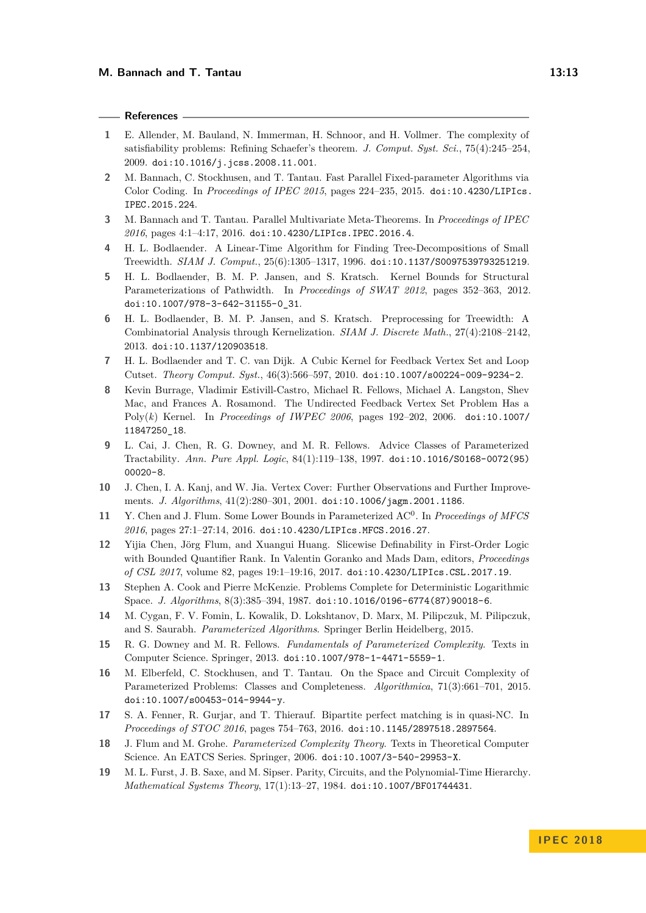#### **References**

- <span id="page-12-18"></span>**1** E. Allender, M. Bauland, N. Immerman, H. Schnoor, and H. Vollmer. The complexity of satisfiability problems: Refining Schaefer's theorem. *J. Comput. Syst. Sci.*, 75(4):245–254, 2009. [doi:10.1016/j.jcss.2008.11.001](http://dx.doi.org/10.1016/j.jcss.2008.11.001).
- <span id="page-12-5"></span>**2** M. Bannach, C. Stockhusen, and T. Tantau. Fast Parallel Fixed-parameter Algorithms via Color Coding. In *Proceedings of IPEC 2015*, pages 224–235, 2015. [doi:10.4230/LIPIcs.](http://dx.doi.org/10.4230/LIPIcs.IPEC.2015.224) [IPEC.2015.224](http://dx.doi.org/10.4230/LIPIcs.IPEC.2015.224).
- <span id="page-12-9"></span>**3** M. Bannach and T. Tantau. Parallel Multivariate Meta-Theorems. In *Proceedings of IPEC 2016*, pages 4:1–4:17, 2016. [doi:10.4230/LIPIcs.IPEC.2016.4](http://dx.doi.org/10.4230/LIPIcs.IPEC.2016.4).
- <span id="page-12-15"></span>**4** H. L. Bodlaender. A Linear-Time Algorithm for Finding Tree-Decompositions of Small Treewidth. *SIAM J. Comput.*, 25(6):1305–1317, 1996. [doi:10.1137/S0097539793251219](http://dx.doi.org/10.1137/S0097539793251219).
- <span id="page-12-14"></span>**5** H. L. Bodlaender, B. M. P. Jansen, and S. Kratsch. Kernel Bounds for Structural Parameterizations of Pathwidth. In *Proceedings of SWAT 2012*, pages 352–363, 2012. [doi:10.1007/978-3-642-31155-0\\_31](http://dx.doi.org/10.1007/978-3-642-31155-0_31).
- <span id="page-12-13"></span>**6** H. L. Bodlaender, B. M. P. Jansen, and S. Kratsch. Preprocessing for Treewidth: A Combinatorial Analysis through Kernelization. *SIAM J. Discrete Math.*, 27(4):2108–2142, 2013. [doi:10.1137/120903518](http://dx.doi.org/10.1137/120903518).
- <span id="page-12-11"></span>**7** H. L. Bodlaender and T. C. van Dijk. A Cubic Kernel for Feedback Vertex Set and Loop Cutset. *Theory Comput. Syst.*, 46(3):566–597, 2010. [doi:10.1007/s00224-009-9234-2](http://dx.doi.org/10.1007/s00224-009-9234-2).
- <span id="page-12-10"></span>**8** Kevin Burrage, Vladimir Estivill-Castro, Michael R. Fellows, Michael A. Langston, Shev Mac, and Frances A. Rosamond. The Undirected Feedback Vertex Set Problem Has a Poly(*k*) Kernel. In *Proceedings of IWPEC 2006*, pages 192–202, 2006. [doi:10.1007/](http://dx.doi.org/10.1007/11847250_18) [11847250\\_18](http://dx.doi.org/10.1007/11847250_18).
- <span id="page-12-3"></span>**9** L. Cai, J. Chen, R. G. Downey, and M. R. Fellows. Advice Classes of Parameterized Tractability. *Ann. Pure Appl. Logic*, 84(1):119–138, 1997. [doi:10.1016/S0168-0072\(95\)](http://dx.doi.org/10.1016/S0168-0072(95)00020-8) [00020-8](http://dx.doi.org/10.1016/S0168-0072(95)00020-8).
- <span id="page-12-7"></span>**10** J. Chen, I. A. Kanj, and W. Jia. Vertex Cover: Further Observations and Further Improvements. *J. Algorithms*, 41(2):280–301, 2001. [doi:10.1006/jagm.2001.1186](http://dx.doi.org/10.1006/jagm.2001.1186).
- <span id="page-12-6"></span>11 Y. Chen and J. Flum. Some Lower Bounds in Parameterized AC<sup>0</sup>. In *Proceedings of MFCS 2016*, pages 27:1–27:14, 2016. [doi:10.4230/LIPIcs.MFCS.2016.27](http://dx.doi.org/10.4230/LIPIcs.MFCS.2016.27).
- <span id="page-12-17"></span>**12** Yijia Chen, Jörg Flum, and Xuangui Huang. Slicewise Definability in First-Order Logic with Bounded Quantifier Rank. In Valentin Goranko and Mads Dam, editors, *Proceedings of CSL 2017*, volume 82, pages 19:1–19:16, 2017. [doi:10.4230/LIPIcs.CSL.2017.19](http://dx.doi.org/10.4230/LIPIcs.CSL.2017.19).
- <span id="page-12-12"></span>**13** Stephen A. Cook and Pierre McKenzie. Problems Complete for Deterministic Logarithmic Space. *J. Algorithms*, 8(3):385–394, 1987. [doi:10.1016/0196-6774\(87\)90018-6](http://dx.doi.org/10.1016/0196-6774(87)90018-6).
- <span id="page-12-0"></span>**14** M. Cygan, F. V. Fomin, L. Kowalik, D. Lokshtanov, D. Marx, M. Pilipczuk, M. Pilipczuk, and S. Saurabh. *Parameterized Algorithms*. Springer Berlin Heidelberg, 2015.
- <span id="page-12-1"></span>**15** R. G. Downey and M. R. Fellows. *Fundamentals of Parameterized Complexity*. Texts in Computer Science. Springer, 2013. [doi:10.1007/978-1-4471-5559-1](http://dx.doi.org/10.1007/978-1-4471-5559-1).
- <span id="page-12-4"></span>**16** M. Elberfeld, C. Stockhusen, and T. Tantau. On the Space and Circuit Complexity of Parameterized Problems: Classes and Completeness. *Algorithmica*, 71(3):661–701, 2015. [doi:10.1007/s00453-014-9944-y](http://dx.doi.org/10.1007/s00453-014-9944-y).
- <span id="page-12-8"></span>**17** S. A. Fenner, R. Gurjar, and T. Thierauf. Bipartite perfect matching is in quasi-NC. In *Proceedings of STOC 2016*, pages 754–763, 2016. [doi:10.1145/2897518.2897564](http://dx.doi.org/10.1145/2897518.2897564).
- <span id="page-12-2"></span>**18** J. Flum and M. Grohe. *Parameterized Complexity Theory*. Texts in Theoretical Computer Science. An EATCS Series. Springer, 2006. [doi:10.1007/3-540-29953-X](http://dx.doi.org/10.1007/3-540-29953-X).
- <span id="page-12-16"></span>**19** M. L. Furst, J. B. Saxe, and M. Sipser. Parity, Circuits, and the Polynomial-Time Hierarchy. *Mathematical Systems Theory*, 17(1):13–27, 1984. [doi:10.1007/BF01744431](http://dx.doi.org/10.1007/BF01744431).